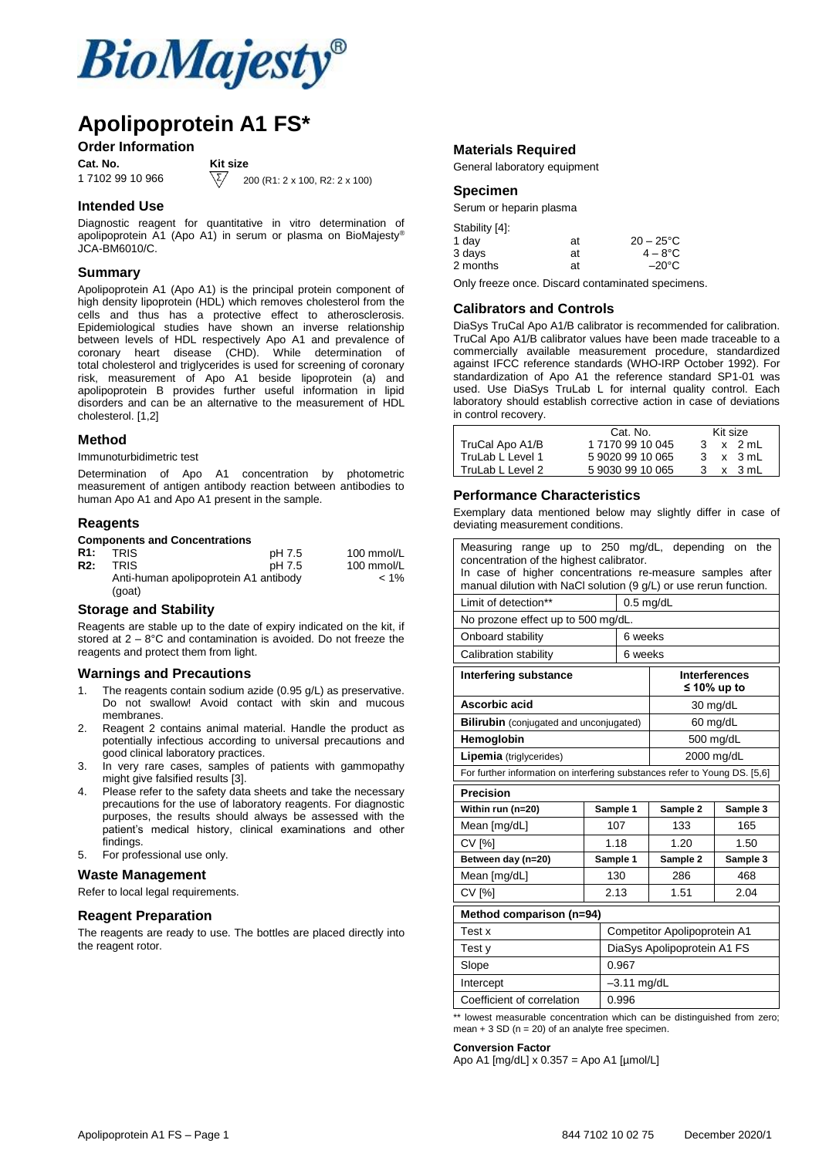

## **Apolipoprotein A1 FS\***

#### **Order Information**

**Cat. No. Kit size**<br>1 7102 99 10 966  $\sqrt{\sum}$  2

200 (R1: 2 x 100, R2: 2 x 100)

#### **Intended Use**

Diagnostic reagent for quantitative in vitro determination of apolipoprotein A1 (Apo A1) in serum or plasma on BioMajesty® JCA-BM6010/C.

#### **Summary**

Apolipoprotein A1 (Apo A1) is the principal protein component of high density lipoprotein (HDL) which removes cholesterol from the cells and thus has a protective effect to atherosclerosis. Epidemiological studies have shown an inverse relationship between levels of HDL respectively Apo A1 and prevalence of coronary heart disease (CHD). While determination of total cholesterol and triglycerides is used for screening of coronary risk, measurement of Apo A1 beside lipoprotein (a) and apolipoprotein B provides further useful information in lipid disorders and can be an alternative to the measurement of HDL cholesterol. [1,2]

#### **Method**

Immunoturbidimetric test

Determination of Apo A1 concentration by photometric measurement of antigen antibody reaction between antibodies to human Apo A1 and Apo A1 present in the sample.

#### **Reagents**

#### **Components and Concentrations**

| R1:        | <b>TRIS</b>                                     | pH 7.5 | 100 mmol/L |
|------------|-------------------------------------------------|--------|------------|
| <b>R2:</b> | TRIS                                            | pH 7.5 | 100 mmol/L |
|            | Anti-human apolipoprotein A1 antibody<br>(goat) |        | $< 1\%$    |
|            |                                                 |        |            |

#### **Storage and Stability**

Reagents are stable up to the date of expiry indicated on the kit, if stored at 2 – 8°C and contamination is avoided. Do not freeze the reagents and protect them from light.

#### **Warnings and Precautions**

- 1. The reagents contain sodium azide (0.95 g/L) as preservative. Do not swallow! Avoid contact with skin and mucous membranes.
- 2. Reagent 2 contains animal material. Handle the product as potentially infectious according to universal precautions and good clinical laboratory practices.
- 3. In very rare cases, samples of patients with gammopathy might give falsified results [3].
- 4. Please refer to the safety data sheets and take the necessary precautions for the use of laboratory reagents. For diagnostic purposes, the results should always be assessed with the patient's medical history, clinical examinations and other findings.
- 5. For professional use only.

#### **Waste Management**

Refer to local legal requirements.

#### **Reagent Preparation**

The reagents are ready to use. The bottles are placed directly into the reagent rotor.

#### **Materials Required**

General laboratory equipment

#### **Specimen**

Serum or heparin plasma

| Stability [4]: |    |                     |
|----------------|----|---------------------|
| 1 day          | at | $20 - 25^{\circ}$ C |
| 3 days         | at | $4 - 8^{\circ}$ C   |
| 2 months       | at | $-20^{\circ}$ C     |

Only freeze once. Discard contaminated specimens.

#### **Calibrators and Controls**

DiaSys TruCal Apo A1/B calibrator is recommended for calibration. TruCal Apo A1/B calibrator values have been made traceable to a commercially available measurement procedure, standardized against IFCC reference standards (WHO-IRP October 1992). For standardization of Apo A1 the reference standard SP1-01 was used. Use DiaSys TruLab L for internal quality control. Each laboratory should establish corrective action in case of deviations in control recovery.

|                  | Cat. No.         |    | Kit size |
|------------------|------------------|----|----------|
| TruCal Apo A1/B  | 1 7170 99 10 045 | 3  | x 2 mL   |
| TruLab L Level 1 | 5 9020 99 10 065 | З. | x 3 mL   |
| TruLab L Level 2 | 5 9030 99 10 065 | 3  | x 3 mL   |

#### **Performance Characteristics**

Exemplary data mentioned below may slightly differ in case of deviating measurement conditions.

| Measuring range up to 250 mg/dL, depending on the<br>concentration of the highest calibrator.<br>In case of higher concentrations re-measure samples after<br>manual dilution with NaCl solution (9 g/L) or use rerun function. |                                                                            |               |                              |                                     |  |
|---------------------------------------------------------------------------------------------------------------------------------------------------------------------------------------------------------------------------------|----------------------------------------------------------------------------|---------------|------------------------------|-------------------------------------|--|
| Limit of detection**<br>$0.5$ mg/dL                                                                                                                                                                                             |                                                                            |               |                              |                                     |  |
| No prozone effect up to 500 mg/dL.                                                                                                                                                                                              |                                                                            |               |                              |                                     |  |
| Onboard stability                                                                                                                                                                                                               |                                                                            | 6 weeks       |                              |                                     |  |
| Calibration stability                                                                                                                                                                                                           |                                                                            | 6 weeks       |                              |                                     |  |
| <b>Interfering substance</b>                                                                                                                                                                                                    |                                                                            |               |                              | <b>Interferences</b><br>≤ 10% up to |  |
| Ascorbic acid                                                                                                                                                                                                                   |                                                                            |               |                              | 30 mg/dL                            |  |
| <b>Bilirubin</b> (conjugated and unconjugated)                                                                                                                                                                                  |                                                                            |               |                              | 60 mg/dL                            |  |
| Hemoglobin                                                                                                                                                                                                                      |                                                                            |               |                              | 500 mg/dL                           |  |
| 2000 mg/dL<br><b>Lipemia</b> (triglycerides)                                                                                                                                                                                    |                                                                            |               |                              |                                     |  |
|                                                                                                                                                                                                                                 | For further information on interfering substances refer to Young DS. [5,6] |               |                              |                                     |  |
| <b>Precision</b>                                                                                                                                                                                                                |                                                                            |               |                              |                                     |  |
|                                                                                                                                                                                                                                 |                                                                            |               |                              |                                     |  |
| Within run (n=20)                                                                                                                                                                                                               |                                                                            | Sample 1      | Sample 2                     | Sample 3                            |  |
| Mean [mg/dL]                                                                                                                                                                                                                    |                                                                            | 107           | 133                          | 165                                 |  |
| <b>CV [%]</b>                                                                                                                                                                                                                   |                                                                            | 1.18          | 1.20                         | 1.50                                |  |
| Between day (n=20)                                                                                                                                                                                                              |                                                                            | Sample 1      | Sample 2                     | Sample 3                            |  |
| Mean [mg/dL]                                                                                                                                                                                                                    |                                                                            | 130           | 286                          | 468                                 |  |
| <b>CV [%]</b>                                                                                                                                                                                                                   |                                                                            | 2.13          | 1.51                         | 2.04                                |  |
| Method comparison (n=94)                                                                                                                                                                                                        |                                                                            |               |                              |                                     |  |
| Test x                                                                                                                                                                                                                          |                                                                            |               | Competitor Apolipoprotein A1 |                                     |  |
| Test y                                                                                                                                                                                                                          |                                                                            |               | DiaSys Apolipoprotein A1 FS  |                                     |  |
| Slope                                                                                                                                                                                                                           |                                                                            | 0.967         |                              |                                     |  |
| Intercept                                                                                                                                                                                                                       |                                                                            | $-3.11$ mg/dL |                              |                                     |  |
| Coefficient of correlation                                                                                                                                                                                                      |                                                                            | 0.996         |                              |                                     |  |

\*\* lowest measurable concentration which can be distinguished from zero; mean  $+ 3$  SD ( $n = 20$ ) of an analyte free specimen.

#### **Conversion Factor**

Apo A1 [mg/dL] x 0.357 = Apo A1 [µmol/L]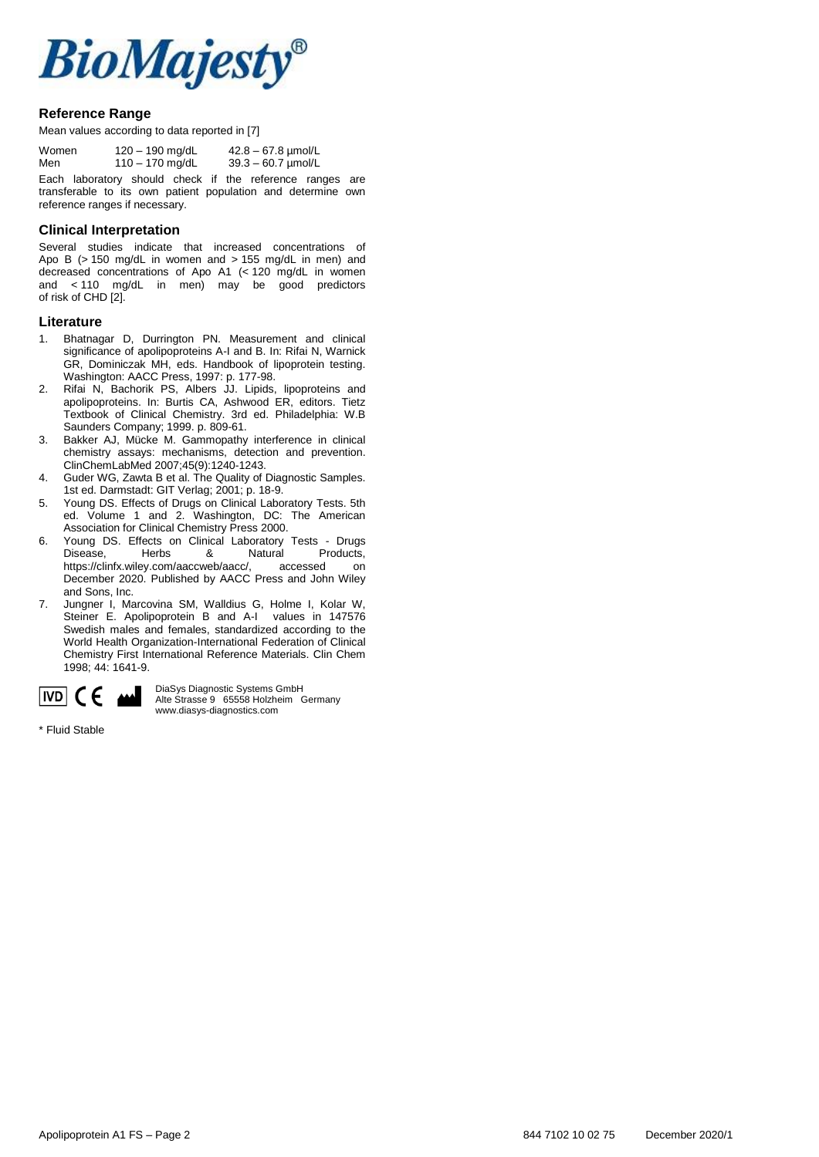

#### **Reference Range**

Mean values according to data reported in [7]

| Women | $120 - 190$ mg/dL | $42.8 - 67.8$ µmol/L |
|-------|-------------------|----------------------|
| Men   | 110 $-$ 170 mg/dL | $39.3 - 60.7$ µmol/L |
| $ -$  |                   |                      |

Each laboratory should check if the reference ranges are transferable to its own patient population and determine own reference ranges if necessary.

#### **Clinical Interpretation**

Several studies indicate that increased concentrations of Apo B  $(> 150 \text{ mg/dL}$  in women and  $> 155 \text{ mg/dL}$  in men) and decreased concentrations of Apo A1 (< 120 mg/dL in women and < 110 mg/dL in men) may be good predictors of risk of CHD [2].

#### **Literature**

- 1. Bhatnagar D, Durrington PN. Measurement and clinical significance of apolipoproteins A-I and B. In: Rifai N, Warnick GR, Dominiczak MH, eds. Handbook of lipoprotein testing. Washington: AACC Press, 1997: p. 177-98.
- 2. Rifai N, Bachorik PS, Albers JJ. Lipids, lipoproteins and apolipoproteins. In: Burtis CA, Ashwood ER, editors. Tietz Textbook of Clinical Chemistry. 3rd ed. Philadelphia: W.B Saunders Company; 1999. p. 809-61.
- 3. Bakker AJ, Mücke M. Gammopathy interference in clinical chemistry assays: mechanisms, detection and prevention. ClinChemLabMed 2007;45(9):1240-1243.
- 4. Guder WG, Zawta B et al. The Quality of Diagnostic Samples. 1st ed. Darmstadt: GIT Verlag; 2001; p. 18-9.
- 5. Young DS. Effects of Drugs on Clinical Laboratory Tests. 5th ed. Volume 1 and 2. Washington, DC: The American Association for Clinical Chemistry Press 2000.
- 6. Young DS. Effects on Clinical Laboratory Tests Drugs Disease, Herbs & Natural Products,<br>https://clinfx.wiley.com/aaccweb/aacc/, accessed on https://clinfx.wiley.com/aaccweb/aacc/, accessed on December 2020. Published by AACC Press and John Wiley and Sons, Inc.
- 7. Jungner I, Marcovina SM, Walldius G, Holme I, Kolar W, Steiner E. Apolipoprotein B and A-I values in 147576 Swedish males and females, standardized according to the World Health Organization-International Federation of Clinical Chemistry First International Reference Materials. Clin Chem 1998; 44: 1641-9.



DiaSys Diagnostic Systems GmbH Alte Strasse 9 65558 Holzheim Germany www.diasys-diagnostics.com

\* Fluid Stable